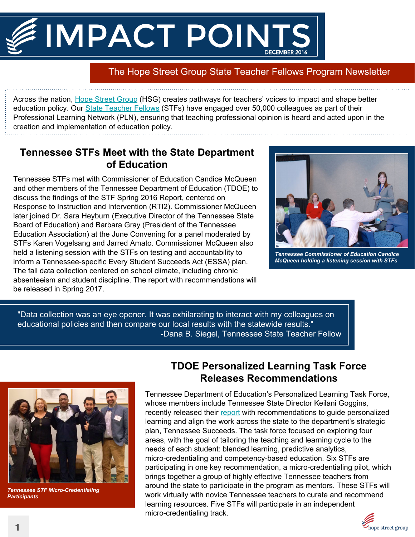# IMPACT POINTS

# The Hope Street Group State Teacher Fellows Program Newsletter

Across the nation, [Hope Street Group](http://hopestreetgroup.org/) (HSG) creates pathways for teachers' voices to impact and shape better education policy. Our **[State Teacher Fellows](http://hopestreetgroup.org/impact/education/teacher-fellowships/)** (STFs) have engaged over 50,000 colleagues as part of their Professional Learning Network (PLN), ensuring that teaching professional opinion is heard and acted upon in the creation and implementation of education policy.

### **Tennessee STFs Meet with the State Department of Education**

Tennessee STFs met with Commissioner of Education Candice McQueen and other members of the Tennessee Department of Education (TDOE) to discuss the findings of the STF Spring 2016 Report, centered on Response to Instruction and Intervention (RTI2). Commissioner McQueen later joined Dr. Sara Heyburn (Executive Director of the Tennessee State Board of Education) and Barbara Gray (President of the Tennessee Education Association) at the June Convening for a panel moderated by STFs Karen Vogelsang and Jarred Amato. Commissioner McQueen also held a listening session with the STFs on testing and accountability to inform a Tennessee-specific Every Student Succeeds Act (ESSA) plan. The fall data collection centered on school climate, including chronic absenteeism and student discipline. The report with recommendations will be released in Spring 2017.



*Tennessee Commissioner of Education Candice McQueen holding a listening session with STFs*

"Data collection was an eye opener. It was exhilarating to interact with my colleagues on educational policies and then compare our local results with the statewide results." -Dana B. Siegel, Tennessee State Teacher Fellow



*Tennessee STF Micro-Credentialing Participants*

## **TDOE Personalized Learning Task Force Releases Recommendations**

Tennessee Department of Education's Personalized Learning Task Force, whose members include Tennessee State Director Keilani Goggins, recently released their [report](http://tn.gov/assets/entities/education/attachments/Personalized_Learning_Task_Force_Report.pdf) with recommendations to guide personalized learning and align the work across the state to the department's strategic plan, Tennessee Succeeds. The task force focused on exploring four areas, with the goal of tailoring the teaching and learning cycle to the needs of each student: blended learning, predictive analytics, micro-credentialing and competency-based education. Six STFs are participating in one key recommendation, a micro-credentialing pilot, which brings together a group of highly effective Tennessee teachers from around the state to participate in the program as mentors. These STFs will work virtually with novice Tennessee teachers to curate and recommend learning resources. Five STFs will participate in an independent micro-credentialing track.

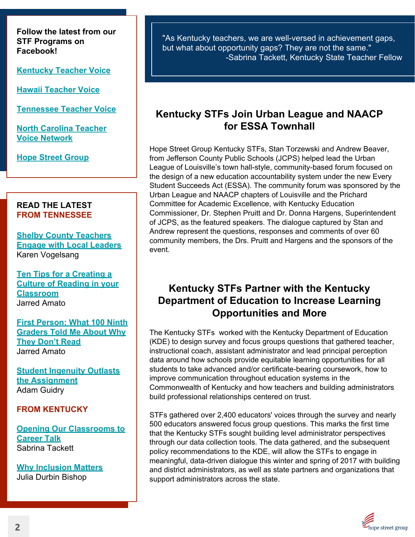**Follow the latest from our STF Programs on Facebook!** 

**[Kentucky Teacher Voice](https://www.facebook.com/KentuckyTeacherVoice/?fref=ts)**

**[Hawaii Teacher Voice](https://www.facebook.com/HawaiiTeacherVoice/?fref=ts)**

**[Tennessee Teacher Voice](https://www.facebook.com/TennesseeTeacherVoice/?fref=ts)**

**[North Carolina Teacher](https://www.facebook.com/NCteachervoice/?fref=ts) [Voice Network](https://www.facebook.com/NCteachervoice/?fref=ts)**

**[Hope Street Group](https://www.facebook.com/hopestreetgroup/?fref=ts)**

#### **READ THE LATEST FROM TENNESSEE**

**[Shelby County Teachers](http://tnclassroomchronicles.org/shelby-county-teachers-engage-local-leaders/) [Engage with Local Leaders](http://tnclassroomchronicles.org/shelby-county-teachers-engage-local-leaders/)** Karen Vogelsang

**[Ten Tips for a Creating a](http://tnclassroomchronicles.org/ten-tips-creating-culture-reading-classroom/) [Culture of Reading in your](http://tnclassroomchronicles.org/ten-tips-creating-culture-reading-classroom/) [Classroom](http://tnclassroomchronicles.org/ten-tips-creating-culture-reading-classroom/)** Jarred Amato

**[First Person: What 100 Ninth](http://www.chalkbeat.org/posts/us/2016/09/20/first-person-what-100-ninth-graders-told-me-about-why-they-dont-read/#.WAUSa2WA83Q) [Graders Told Me About Why](http://www.chalkbeat.org/posts/us/2016/09/20/first-person-what-100-ninth-graders-told-me-about-why-they-dont-read/#.WAUSa2WA83Q) [They Don't Read](http://www.chalkbeat.org/posts/us/2016/09/20/first-person-what-100-ninth-graders-told-me-about-why-they-dont-read/#.WAUSa2WA83Q)** Jarred Amato

**[Student Ingenuity Outlasts](http://eiablog.acteonline.org/2016/10/student-ingenuity-outlasts-the-assignment.html) [the Assignment](http://eiablog.acteonline.org/2016/10/student-ingenuity-outlasts-the-assignment.html)** Adam Guidry

#### **FROM KENTUCKY**

**[Opening Our Classrooms to](http://www.kentuckyteacher.org/leadership/guest-columns/2016/11/opening-our-classrooms-to-career-talk/) [Career Talk](http://www.kentuckyteacher.org/leadership/guest-columns/2016/11/opening-our-classrooms-to-career-talk/)** Sabrina Tackett

**[Why Inclusion Matters](http://www.kentuckyteacher.org/leadership/guest-columns/2016/10/why-inclusion-matters/)** Julia Durbin Bishop

"As Kentucky teachers, we are well-versed in achievement gaps, but what about opportunity gaps? They are not the same." -Sabrina Tackett, Kentucky State Teacher Fellow

#### **Kentucky STFs Join Urban League and NAACP for ESSA Townhall**

Hope Street Group Kentucky STFs, Stan Torzewski and Andrew Beaver, from Jefferson County Public Schools (JCPS) helped lead the Urban League of Louisville's town hall-style, community-based forum focused on the design of a new education accountability system under the new Every Student Succeeds Act (ESSA). The community forum was sponsored by the Urban League and NAACP chapters of Louisville and the Prichard Committee for Academic Excellence, with Kentucky Education Commissioner, Dr. Stephen Pruitt and Dr. Donna Hargens, Superintendent of JCPS, as the featured speakers. The dialogue captured by Stan and Andrew represent the questions, responses and comments of over 60 community members, the Drs. Pruitt and Hargens and the sponsors of the event.

#### **Kentucky STFs Partner with the Kentucky Department of Education to Increase Learning Opportunities and More**

The Kentucky STFs worked with the Kentucky Department of Education (KDE) to design survey and focus groups questions that gathered teacher, instructional coach, assistant administrator and lead principal perception data around how schools provide equitable learning opportunities for all students to take advanced and/or certificate-bearing coursework, how to improve communication throughout education systems in the Commonwealth of Kentucky and how teachers and building administrators build professional relationships centered on trust.

STFs gathered over 2,400 educators' voices through the survey and nearly 500 educators answered focus group questions. This marks the first time that the Kentucky STFs sought building level administrator perspectives through our data collection tools. The data gathered, and the subsequent policy recommendations to the KDE, will allow the STFs to engage in meaningful, data-driven dialogue this winter and spring of 2017 with building and district administrators, as well as state partners and organizations that support administrators across the state.

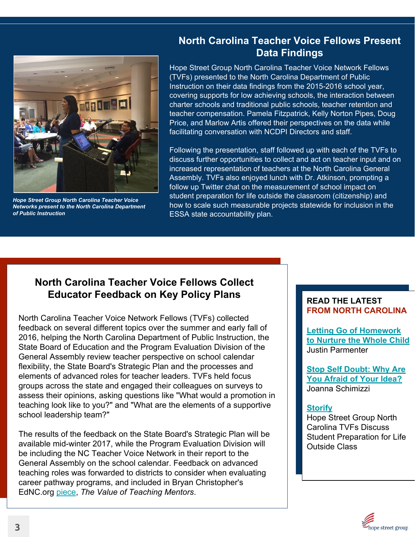

*Hope Street Group North Carolina Teacher Voice Networks present to the North Carolina Department of Public Instruction*

#### **North Carolina Teacher Voice Fellows Present Data Findings**

Hope Street Group North Carolina Teacher Voice Network Fellows (TVFs) presented to the North Carolina Department of Public Instruction on their data findings from the 2015-2016 school year, covering supports for low achieving schools, the interaction between charter schools and traditional public schools, teacher retention and teacher compensation. Pamela Fitzpatrick, Kelly Norton Pipes, Doug Price, and Marlow Artis offered their perspectives on the data while facilitating conversation with NCDPI Directors and staff.

Following the presentation, staff followed up with each of the TVFs to discuss further opportunities to collect and act on teacher input and on increased representation of teachers at the North Carolina General Assembly. TVFs also enjoyed lunch with Dr. Atkinson, prompting a follow up Twitter chat on the measurement of school impact on student preparation for life outside the classroom (citizenship) and how to scale such measurable projects statewide for inclusion in the ESSA state accountability plan.

# **North Carolina Teacher Voice Fellows Collect Educator Feedback on Key Policy Plans READ THE LATEST**

North Carolina Teacher Voice Network Fellows (TVFs) collected feedback on several different topics over the summer and early fall of 2016, helping the North Carolina Department of Public Instruction, the State Board of Education and the Program Evaluation Division of the General Assembly review teacher perspective on school calendar flexibility, the State Board's Strategic Plan and the processes and elements of advanced roles for teacher leaders. TVFs held focus groups across the state and engaged their colleagues on surveys to assess their opinions, asking questions like "What would a promotion in teaching look like to you?" and "What are the elements of a supportive school leadership team?"

The results of the feedback on the State Board's Strategic Plan will be available mid-winter 2017, while the Program Evaluation Division will be including the NC Teacher Voice Network in their report to the General Assembly on the school calendar. Feedback on advanced teaching roles was forwarded to districts to consider when evaluating career pathway programs, and included in Bryan Christopher's EdNC.org [piece](https://www.ednc.org/2016/10/27/value-teaching-mentors/), *The Value of Teaching Mentors*.

# **FROM NORTH CAROLINA**

**[Letting Go of Homework](https://www.ednc.org/2016/10/06/letting-go-homework-nurture-whole-child/) [to Nurture the Whole Child](https://www.ednc.org/2016/10/06/letting-go-homework-nurture-whole-child/)** Justin Parmenter

**[Stop Self Doubt: Why Are](http://boardcertifiedteachers.org/blog/stop-self-doubt-why-are-you-afraid-your-idea) [You Afraid of Your Idea?](http://boardcertifiedteachers.org/blog/stop-self-doubt-why-are-you-afraid-your-idea)** Joanna Schimizzi

#### **[Storify](https://storify.com/HSG_NC/hope-street-group-north-carolina-teacher-voice-net)**

Hope Street Group North Carolina TVFs Discuss Student Preparation for Life Outside Class